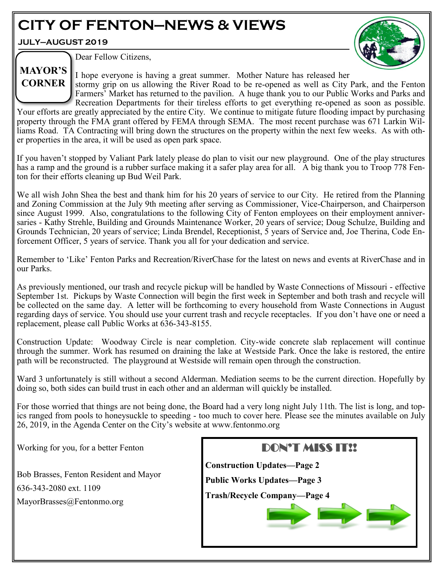# **CITY OF FENTON—NEWS & VIEWS**

**JULY—AUGUST 2019**



Dear Fellow Citizens,

I hope everyone is having a great summer. Mother Nature has released her stormy grip on us allowing the River Road to be re-opened as well as City Park, and the Fenton Farmers' Market has returned to the pavilion. A huge thank you to our Public Works and Parks and **MAYOR'S CORNER**

Recreation Departments for their tireless efforts to get everything re-opened as soon as possible. Your efforts are greatly appreciated by the entire City. We continue to mitigate future flooding impact by purchasing property through the FMA grant offered by FEMA through SEMA. The most recent purchase was 671 Larkin Williams Road. TA Contracting will bring down the structures on the property within the next few weeks. As with other properties in the area, it will be used as open park space.

If you haven't stopped by Valiant Park lately please do plan to visit our new playground. One of the play structures has a ramp and the ground is a rubber surface making it a safer play area for all. A big thank you to Troop 778 Fenton for their efforts cleaning up Bud Weil Park.

We all wish John Shea the best and thank him for his 20 years of service to our City. He retired from the Planning and Zoning Commission at the July 9th meeting after serving as Commissioner, Vice-Chairperson, and Chairperson since August 1999. Also, congratulations to the following City of Fenton employees on their employment anniversaries - Kathy Strehle, Building and Grounds Maintenance Worker, 20 years of service; Doug Schulze, Building and Grounds Technician, 20 years of service; Linda Brendel, Receptionist, 5 years of Service and, Joe Therina, Code Enforcement Officer, 5 years of service. Thank you all for your dedication and service.

Remember to 'Like' Fenton Parks and Recreation/RiverChase for the latest on news and events at RiverChase and in our Parks.

As previously mentioned, our trash and recycle pickup will be handled by Waste Connections of Missouri - effective September 1st. Pickups by Waste Connection will begin the first week in September and both trash and recycle will be collected on the same day. A letter will be forthcoming to every household from Waste Connections in August regarding days of service. You should use your current trash and recycle receptacles. If you don't have one or need a replacement, please call Public Works at 636-343-8155.

Construction Update: Woodway Circle is near completion. City-wide concrete slab replacement will continue through the summer. Work has resumed on draining the lake at Westside Park. Once the lake is restored, the entire path will be reconstructed. The playground at Westside will remain open through the construction.

Ward 3 unfortunately is still without a second Alderman. Mediation seems to be the current direction. Hopefully by doing so, both sides can build trust in each other and an alderman will quickly be installed.

For those worried that things are not being done, the Board had a very long night July 11th. The list is long, and topics ranged from pools to honeysuckle to speeding - too much to cover here. Please see the minutes available on July 26, 2019, in the Agenda Center on the City's website at www.fentonmo.org

Working for you, for a better Fenton

Bob Brasses, Fenton Resident and Mayor 636-343-2080 ext. 1109 MayorBrasses@Fentonmo.org

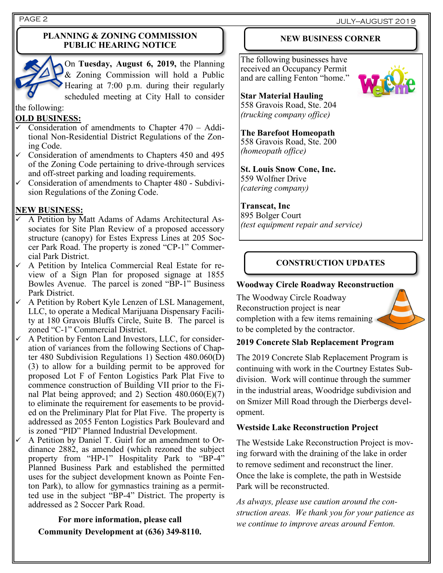PAGE 2 JULY—AUGUST 2019

#### **PLANNING & ZONING COMMISSION PUBLIC HEARING NOTICE**



On **Tuesday, August 6, 2019,** the Planning & Zoning Commission will hold a Public Hearing at 7:00 p.m. during their regularly scheduled meeting at City Hall to consider

#### the following:

#### **OLD BUSINESS:**

- Consideration of amendments to Chapter 470 Additional Non-Residential District Regulations of the Zoning Code.
- Consideration of amendments to Chapters 450 and 495 of the Zoning Code pertaining to drive-through services and off-street parking and loading requirements.
- Consideration of amendments to Chapter 480 Subdivision Regulations of the Zoning Code.

#### **NEW BUSINESS:**

- A Petition by Matt Adams of Adams Architectural Associates for Site Plan Review of a proposed accessory structure (canopy) for Estes Express Lines at 205 Soccer Park Road. The property is zoned "CP-1" Commercial Park District.
- A Petition by Intelica Commercial Real Estate for review of a Sign Plan for proposed signage at 1855 Bowles Avenue. The parcel is zoned "BP-1" Business Park District.
- A Petition by Robert Kyle Lenzen of LSL Management, LLC, to operate a Medical Marijuana Dispensary Facility at 180 Gravois Bluffs Circle, Suite B. The parcel is zoned "C-1" Commercial District.
- A Petition by Fenton Land Investors, LLC, for consideration of variances from the following Sections of Chapter 480 Subdivision Regulations 1) Section 480.060(D) (3) to allow for a building permit to be approved for proposed Lot F of Fenton Logistics Park Plat Five to commence construction of Building VII prior to the Final Plat being approved; and 2) Section  $480.060(E)(7)$ to eliminate the requirement for easements to be provided on the Preliminary Plat for Plat Five. The property is addressed as 2055 Fenton Logistics Park Boulevard and is zoned "PID" Planned Industrial Development.
- A Petition by Daniel T. Guirl for an amendment to Ordinance 2882, as amended (which rezoned the subject property from "HP-1" Hospitality Park to "BP-4" Planned Business Park and established the permitted uses for the subject development known as Pointe Fenton Park), to allow for gymnastics training as a permitted use in the subject "BP-4" District. The property is addressed as 2 Soccer Park Road.

**For more information, please call Community Development at (636) 349-8110.**

### **NEW BUSINESS CORNER**

The following businesses have received an Occupancy Permit and are calling Fenton "home."



**Star Material Hauling** 558 Gravois Road, Ste. 204 *(trucking company office)*

**The Barefoot Homeopath** 558 Gravois Road, Ste. 200

*(homeopath office)*

**St. Louis Snow Cone, Inc.** 559 Wolfner Drive *(catering company)*

### **Transcat, Inc**

895 Bolger Court *(test equipment repair and service)*

# **CONSTRUCTION UPDATES**

#### **Woodway Circle Roadway Reconstruction**

The Woodway Circle Roadway Reconstruction project is near completion with a few items remaining to be completed by the contractor.

# **2019 Concrete Slab Replacement Program**

The 2019 Concrete Slab Replacement Program is continuing with work in the Courtney Estates Subdivision. Work will continue through the summer in the industrial areas, Woodridge subdivision and on Smizer Mill Road through the Dierbergs development.

#### **Westside Lake Reconstruction Project**

The Westside Lake Reconstruction Project is moving forward with the draining of the lake in order to remove sediment and reconstruct the liner. Once the lake is complete, the path in Westside Park will be reconstructed.

*As always, please use caution around the construction areas. We thank you for your patience as we continue to improve areas around Fenton.*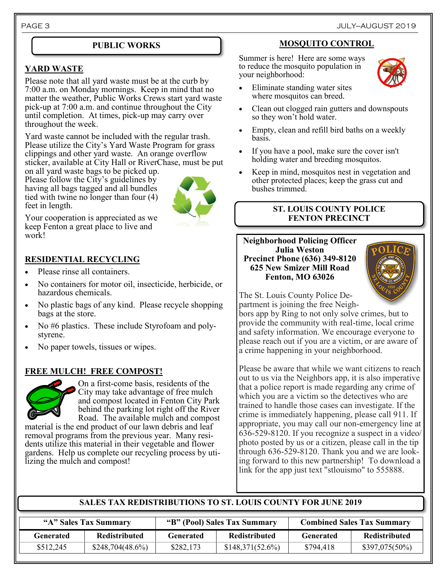### **YARD WASTE**

Please note that all yard waste must be at the curb by 7:00 a.m. on Monday mornings. Keep in mind that no matter the weather, Public Works Crews start yard waste pick-up at 7:00 a.m. and continue throughout the City until completion. At times, pick-up may carry over throughout the week.

Yard waste cannot be included with the regular trash. Please utilize the City's Yard Waste Program for grass clippings and other yard waste. An orange overflow sticker, available at City Hall or RiverChase, must be put

on all yard waste bags to be picked up. Please follow the City's guidelines by having all bags tagged and all bundles tied with twine no longer than four (4) feet in length.



Your cooperation is appreciated as we keep Fenton a great place to live and work!

# **RESIDENTIAL RECYCLING**

- Please rinse all containers.
- No containers for motor oil, insecticide, herbicide, or hazardous chemicals.
- No plastic bags of any kind. Please recycle shopping bags at the store.
- No #6 plastics. These include Styrofoam and polystyrene.
- No paper towels, tissues or wipes.

# **FREE MULCH! FREE COMPOST!**



On a first-come basis, residents of the City may take advantage of free mulch and compost located in Fenton City Park behind the parking lot right off the River Road. The available mulch and compost

material is the end product of our lawn debris and leaf removal programs from the previous year. Many residents utilize this material in their vegetable and flower gardens. Help us complete our recycling process by utilizing the mulch and compost!

### **PUBLIC WORKS MOSQUITO CONTROL**

Summer is here! Here are some ways to reduce the mosquito population in your neighborhood:



- Eliminate standing water sites where mosquitos can breed.
- Clean out clogged rain gutters and downspouts so they won't hold water.
- Empty, clean and refill bird baths on a weekly basis.
- If you have a pool, make sure the cover isn't holding water and breeding mosquitos.
- Keep in mind, mosquitos nest in vegetation and other protected places; keep the grass cut and bushes trimmed.

#### **ST. LOUIS COUNTY POLICE FENTON PRECINCT**

#### **Neighborhood Policing Officer Julia Weston Precinct Phone (636) 349-8120 625 New Smizer Mill Road Fenton, MO 63026**



The St. Louis County Police Department is joining the free Neigh-

bors app by Ring to not only solve crimes, but to provide the community with real-time, local crime and safety information. We encourage everyone to please reach out if you are a victim, or are aware of a crime happening in your neighborhood.

Please be aware that while we want citizens to reach out to us via the Neighbors app, it is also imperative that a police report is made regarding any crime of which you are a victim so the detectives who are trained to handle those cases can investigate. If the crime is immediately happening, please call 911. If appropriate, you may call our non-emergency line at 636-529-8120. If you recognize a suspect in a video/ photo posted by us or a citizen, please call in the tip through 636-529-8120. Thank you and we are looking forward to this new partnership! To download a link for the app just text "stlouismo" to 555888.

# **SALES TAX REDISTRIBUTIONS TO ST. LOUIS COUNTY FOR JUNE 2019**

| "A" Sales Tax Summary |                      | "B" (Pool) Sales Tax Summary |                      | <b>Combined Sales Tax Summary</b> |                  |
|-----------------------|----------------------|------------------------------|----------------------|-----------------------------------|------------------|
| Generated             | <b>Redistributed</b> | <b>Generated</b>             | <b>Redistributed</b> | <b>Generated</b>                  | Redistributed    |
| \$512,245             | \$248,704(48.6%)     | \$282,173                    | \$148,371(52.6%)     | \$794,418                         | $$397,075(50\%)$ |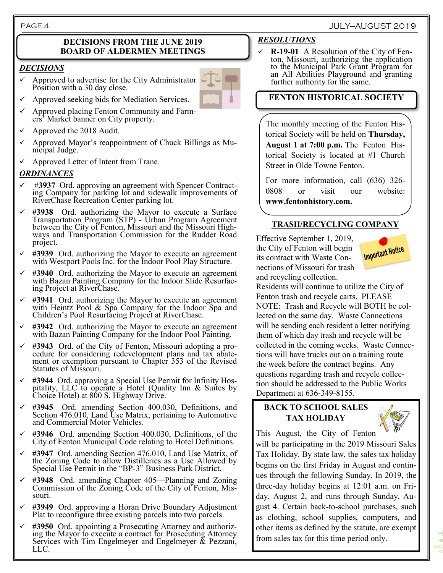#### **DECISIONS FROM THE JUNE 2019 BOARD OF ALDERMEN MEETINGS**

#### *DECISIONS*

Approved to advertise for the City Administrator Position with a 30 day close.



- Approved seeking bids for Mediation Services.
- ✓ Approved placing Fenton Community and Farmers' Market banner on City property.
- Approved the 2018 Audit.
- Approved Mayor's reappointment of Chuck Billings as Municipal Judge.
- ✓ Approved Letter of Intent from Trane.

#### *ORDINANCES*

- #3937 Ord. approving an agreement with Spencer Contracting Company for parking lot and sidewalk improvements of RiverChase Recreation Center parking lot.
- #3938 Ord. authorizing the Mayor to execute a Surface Transportation Program (STP) - Urban Program Agreement between the City of Fenton, Missouri and the Missouri Highways and Transportation Commission for the Rudder Road project.
- #3939 Ord. authorizing the Mayor to execute an agreement with Westport Pools Inc. for the Indoor Pool Play Structure.
- ✓ **#3940** Ord. authorizing the Mayor to execute an agreement with Bazan Painting Company for the Indoor Slide Resurfacing Project at RiverChase.
- ✓ **#3941** Ord. authorizing the Mayor to execute an agreement with Heintz Pool & Spa Company for the Indoor Spa and Children's Pool Resurfacing Project at RiverChase.
- #3942 Ord. authorizing the Mayor to execute an agreement with Bazan Painting Company for the Indoor Pool Painting.
- ✓ **#3943** Ord. of the City of Fenton, Missouri adopting a procedure for considering redevelopment plans and tax abatement or exemption pursuant to Chapter 353 of the Revised Statutes of Missouri.
- #3944 Ord. approving a Special Use Permit for Infinity Hospitality, LLC to operate a Hotel (Quality Inn  $\&$  Suites by Choice Hotel) at 800 S. Highway Drive.
- #3945 Ord. amending Section 400.030, Definitions, and Section 476.010, Land Use Matrix, pertaining to Automotive and Commercial Motor Vehicles.
- ✓ **#3946** Ord. amending Section 400.030, Definitions, of the City of Fenton Municipal Code relating to Hotel Definitions.
- ✓ **#3947** Ord. amending Section 476.010, Land Use Matrix, of the Zoning Code to allow Distilleries as a Use Allowed by Special Use Permit in the "BP-3" Business Park District.
- ✓ **#3948** Ord. amending Chapter 405—Planning and Zoning Commission of the Zoning Code of the City of Fenton, Missouri.
- ✓ **#3949** Ord. approving a Horan Drive Boundary Adjustment Plat to reconfigure three existing parcels into two parcels.
- #3950 Ord. appointing a Prosecuting Attorney and authorizing the Mayor to execute a contract for Prosecuting Attorney Services with Tim Engelmeyer and Engelmeyer & Pezzani, LLC.

#### *RESOLUTIONS*

✓ **R-19-01** A Resolution of the City of Fenton, Missouri, authorizing the application to the Municipal Park Grant Program for an All Abilities Playground and granting further authority for the same.

# **FENTON HISTORICAL SOCIETY**

The monthly meeting of the Fenton Historical Society will be held on **Thursday, August 1 at 7:00 p.m.** The Fenton Historical Society is located at #1 Church Street in Olde Towne Fenton.

For more information, call (636) 326- 0808 or visit our website: **www.fentonhistory.com.**

### **TRASH/RECYCLING COMPANY**

Effective September 1, 2019, the City of Fenton will begin its contract with Waste Connections of Missouri for trash and recycling collection.



Residents will continue to utilize the City of Fenton trash and recycle carts. PLEASE NOTE: Trash and Recycle will BOTH be collected on the same day. Waste Connections will be sending each resident a letter notifying them of which day trash and recycle will be collected in the coming weeks. Waste Connections will have trucks out on a training route the week before the contract begins. Any questions regarding trash and recycle collection should be addressed to the Public Works Department at 636-349-8155.

### **BACK TO SCHOOL SALES TAX HOLIDAY**



This August, the City of Fenton

will be participating in the 2019 Missouri Sales Tax Holiday. By state law, the sales tax holiday begins on the first Friday in August and continues through the following Sunday. In 2019, the three-day holiday begins at 12:01 a.m. on Friday, August 2, and runs through Sunday, August 4. Certain back-to-school purchases, such as clothing, school supplies, computers, and other items as defined by the statute, are exempt from sales tax for this time period only.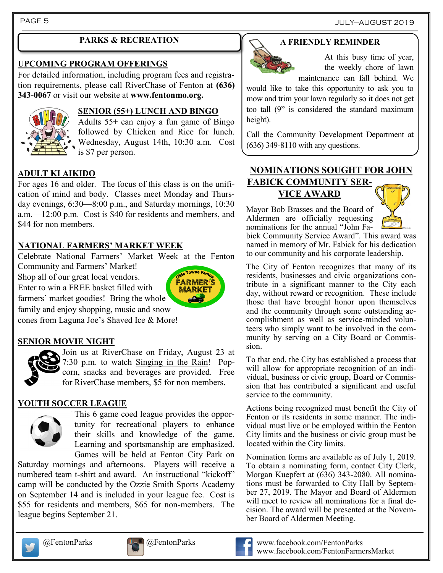# **PARKS & RECREATION**

#### **UPCOMING PROGRAM OFFERINGS**

For detailed information, including program fees and registration requirements, please call RiverChase of Fenton at **(636) 343-0067** or visit our website at **www.fentonmo.org.**



# **SENIOR (55+) LUNCH AND BINGO**

Adults 55+ can enjoy a fun game of Bingo followed by Chicken and Rice for lunch. Wednesday, August 14th, 10:30 a.m. Cost is \$7 per person.

# **ADULT KI AIKIDO**

For ages 16 and older. The focus of this class is on the unification of mind and body. Classes meet Monday and Thursday evenings, 6:30—8:00 p.m., and Saturday mornings, 10:30 a.m.—12:00 p.m. Cost is \$40 for residents and members, and \$44 for non members.

# **NATIONAL FARMERS' MARKET WEEK**

Celebrate National Farmers' Market Week at the Fenton

Community and Farmers' Market! Shop all of our great local vendors. Enter to win a FREE basket filled with farmers' market goodies! Bring the whole



cones from Laguna Joe's Shaved Ice & More!

# **SENIOR MOVIE NIGHT**



Join us at RiverChase on Friday, August 23 at 7:30 p.m. to watch Singing in the Rain! Popcorn, snacks and beverages are provided. Free for RiverChase members, \$5 for non members.

# **YOUTH SOCCER LEAGUE**



This 6 game coed league provides the opportunity for recreational players to enhance their skills and knowledge of the game. Learning and sportsmanship are emphasized. Games will be held at Fenton City Park on

Saturday mornings and afternoons. Players will receive a numbered team t-shirt and award. An instructional "kickoff" camp will be conducted by the Ozzie Smith Sports Academy on September 14 and is included in your league fee. Cost is \$55 for residents and members, \$65 for non-members. The league begins September 21.

# **A FRIENDLY REMINDER**



At this busy time of year, the weekly chore of lawn maintenance can fall behind. We

would like to take this opportunity to ask you to mow and trim your lawn regularly so it does not get too tall (9" is considered the standard maximum height).

Call the Community Development Department at (636) 349-8110 with any questions.

# **NOMINATIONS SOUGHT FOR JOHN FABICK COMMUNITY SER-VICE AWARD**

Mayor Bob Brasses and the Board of Aldermen are officially requesting nominations for the annual "John Fa-



bick Community Service Award". This award was named in memory of Mr. Fabick for his dedication to our community and his corporate leadership.

The City of Fenton recognizes that many of its residents, businesses and civic organizations contribute in a significant manner to the City each day, without reward or recognition. These include those that have brought honor upon themselves and the community through some outstanding accomplishment as well as service-minded volunteers who simply want to be involved in the community by serving on a City Board or Commission.

To that end, the City has established a process that will allow for appropriate recognition of an individual, business or civic group, Board or Commission that has contributed a significant and useful service to the community.

Actions being recognized must benefit the City of Fenton or its residents in some manner. The individual must live or be employed within the Fenton City limits and the business or civic group must be located within the City limits.

Nomination forms are available as of July 1, 2019. To obtain a nominating form, contact City Clerk, Morgan Kuepfert at (636) 343-2080. All nominations must be forwarded to City Hall by September 27, 2019. The Mayor and Board of Aldermen will meet to review all nominations for a final decision. The award will be presented at the November Board of Aldermen Meeting.







@FentonParks @FentonParks www.facebook.com/FentonParks www.facebook.com/FentonFarmersMarket